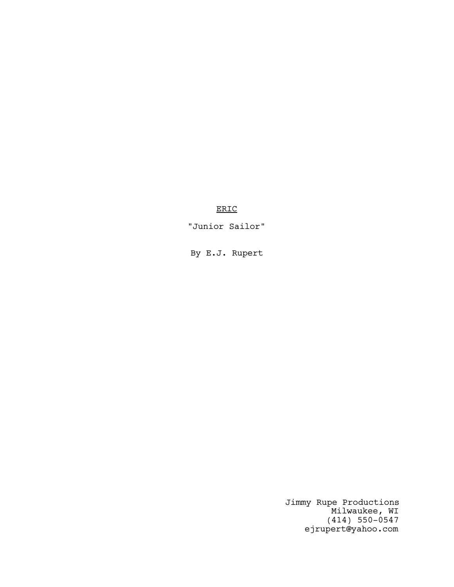# ERIC

"Junior Sailor"

By E.J. Rupert

Jimmy Rupe Productions Milwaukee, WI (414) 550-0547 ejrupert@yahoo.com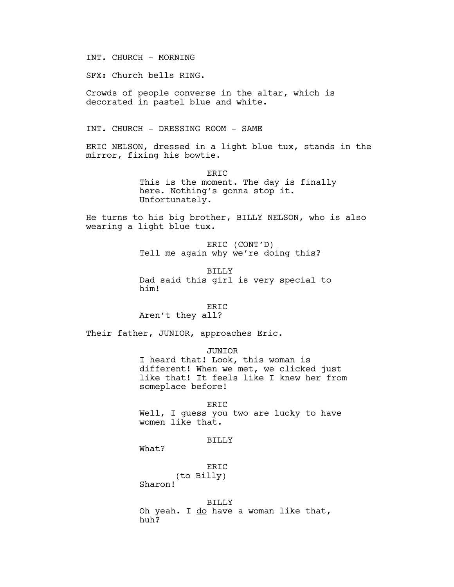INT. CHURCH - MORNING

SFX: Church bells RING.

Crowds of people converse in the altar, which is decorated in pastel blue and white.

INT. CHURCH - DRESSING ROOM - SAME

ERIC NELSON, dressed in a light blue tux, stands in the mirror, fixing his bowtie.

> ERIC This is the moment. The day is finally here. Nothing's gonna stop it. Unfortunately.

He turns to his big brother, BILLY NELSON, who is also wearing a light blue tux.

> ERIC (CONT'D) Tell me again why we're doing this?

BILLY Dad said this girl is very special to him!

### ERIC

Aren't they all?

Their father, JUNIOR, approaches Eric.

### JUNIOR

I heard that! Look, this woman is different! When we met, we clicked just like that! It feels like I knew her from someplace before!

#### ERIC

Well, I guess you two are lucky to have women like that.

# BILLY

What?

ER<sub>IC</sub> (to Billy)

Sharon!

BILLY Oh yeah. I do have a woman like that, huh?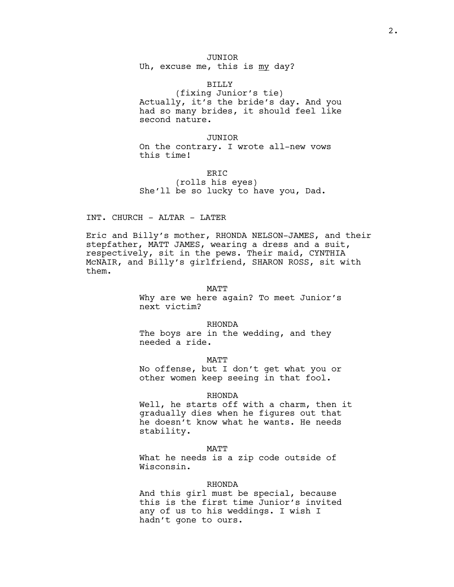JUNIOR

Uh, excuse me, this is my day?

### BILLY

(fixing Junior's tie) Actually, it's the bride's day. And you had so many brides, it should feel like second nature.

### JUNIOR

On the contrary. I wrote all-new vows this time!

### ERIC

(rolls his eyes) She'll be so lucky to have you, Dad.

### INT. CHURCH - ALTAR - LATER

Eric and Billy's mother, RHONDA NELSON-JAMES, and their stepfather, MATT JAMES, wearing a dress and a suit, respectively, sit in the pews. Their maid, CYNTHIA McNAIR, and Billy's girlfriend, SHARON ROSS, sit with them.

### MATT

Why are we here again? To meet Junior's next victim?

#### RHONDA

The boys are in the wedding, and they needed a ride.

MATT No offense, but I don't get what you or other women keep seeing in that fool.

### RHONDA

Well, he starts off with a charm, then it gradually dies when he figures out that he doesn't know what he wants. He needs stability.

#### MATT

What he needs is a zip code outside of Wisconsin.

#### RHONDA

And this girl must be special, because this is the first time Junior's invited any of us to his weddings. I wish I hadn't gone to ours.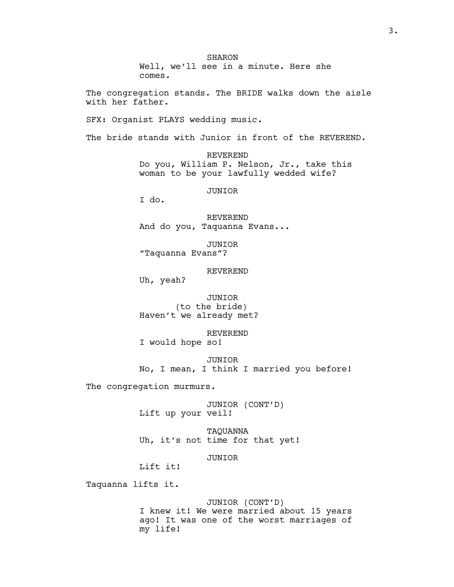SHARON Well, we'll see in a minute. Here she comes. The congregation stands. The BRIDE walks down the aisle with her father. SFX: Organist PLAYS wedding music. The bride stands with Junior in front of the REVEREND. REVEREND Do you, William P. Nelson, Jr., take this woman to be your lawfully wedded wife? JUNIOR I do. REVEREND And do you, Taquanna Evans... JUNIOR "Taquanna Evans"? REVEREND Uh, yeah? JUNIOR (to the bride) Haven't we already met? REVEREND I would hope so! JUNIOR No, I mean, I think I married you before! The congregation murmurs. JUNIOR (CONT'D) Lift up your veil! TAQUANNA Uh, it's not time for that yet! JUNIOR Lift it! Taquanna lifts it. JUNIOR (CONT'D) I knew it! We were married about 15 years ago! It was one of the worst marriages of

my life!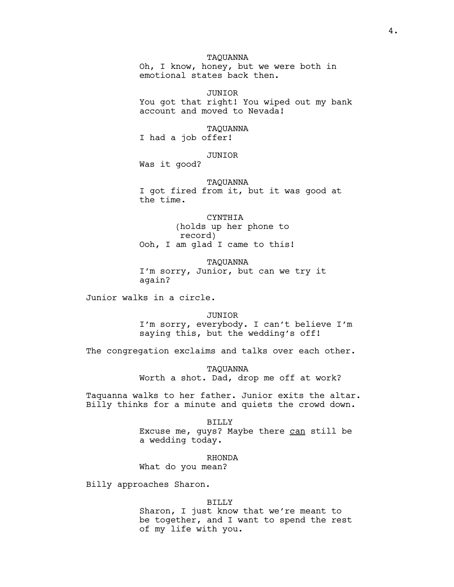# TAQUANNA

Oh, I know, honey, but we were both in emotional states back then.

JUNIOR You got that right! You wiped out my bank account and moved to Nevada!

### TAQUANNA

I had a job offer!

### JUNIOR

Was it good?

#### TAQUANNA

I got fired from it, but it was good at the time.

#### CYNTHIA

(holds up her phone to record) Ooh, I am glad I came to this!

TAQUANNA I'm sorry, Junior, but can we try it again?

Junior walks in a circle.

JUNIOR I'm sorry, everybody. I can't believe I'm saying this, but the wedding's off!

The congregation exclaims and talks over each other.

TAQUANNA Worth a shot. Dad, drop me off at work?

Taquanna walks to her father. Junior exits the altar. Billy thinks for a minute and quiets the crowd down.

# BILLY Excuse me, guys? Maybe there can still be a wedding today.

RHONDA

What do you mean?

Billy approaches Sharon.

### BILLY

Sharon, I just know that we're meant to be together, and I want to spend the rest of my life with you.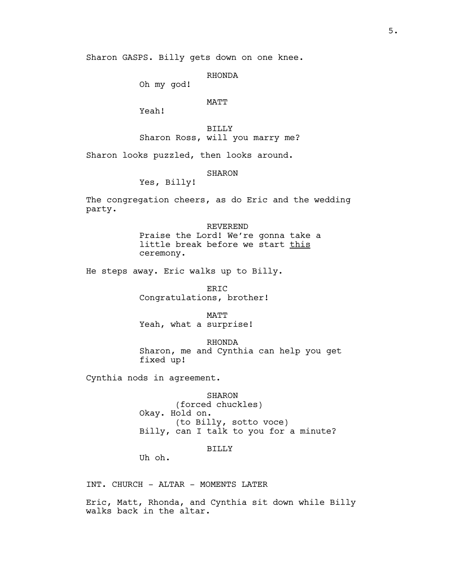RHONDA

Oh my god!

### MATT

Yeah!

BILLY Sharon Ross, will you marry me?

Sharon looks puzzled, then looks around.

**SHARON** 

Yes, Billy!

The congregation cheers, as do Eric and the wedding party.

> REVEREND Praise the Lord! We're gonna take a little break before we start this ceremony.

He steps away. Eric walks up to Billy.

ERIC Congratulations, brother!

MATT Yeah, what a surprise!

RHONDA Sharon, me and Cynthia can help you get fixed up!

Cynthia nods in agreement.

SHARON

(forced chuckles) Okay. Hold on. (to Billy, sotto voce) Billy, can I talk to you for a minute?

### BILLY

Uh oh.

INT. CHURCH - ALTAR - MOMENTS LATER

Eric, Matt, Rhonda, and Cynthia sit down while Billy walks back in the altar.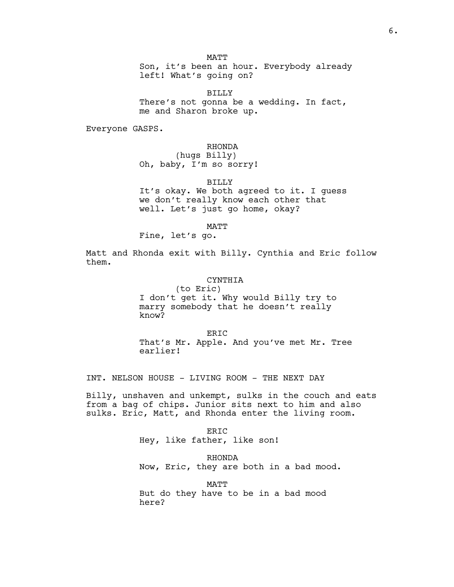MATT

Son, it's been an hour. Everybody already left! What's going on?

BILLY There's not gonna be a wedding. In fact, me and Sharon broke up.

Everyone GASPS.

### RHONDA

(hugs Billy) Oh, baby, I'm so sorry!

### BILLY

It's okay. We both agreed to it. I guess we don't really know each other that well. Let's just go home, okay?

MATT

Fine, let's go.

Matt and Rhonda exit with Billy. Cynthia and Eric follow them.

#### CYNTHIA

(to Eric) I don't get it. Why would Billy try to marry somebody that he doesn't really know?

ER<sub>TC</sub> That's Mr. Apple. And you've met Mr. Tree earlier!

INT. NELSON HOUSE - LIVING ROOM - THE NEXT DAY

Billy, unshaven and unkempt, sulks in the couch and eats from a bag of chips. Junior sits next to him and also sulks. Eric, Matt, and Rhonda enter the living room.

> ERIC Hey, like father, like son!

RHONDA Now, Eric, they are both in a bad mood.

**MATT** But do they have to be in a bad mood here?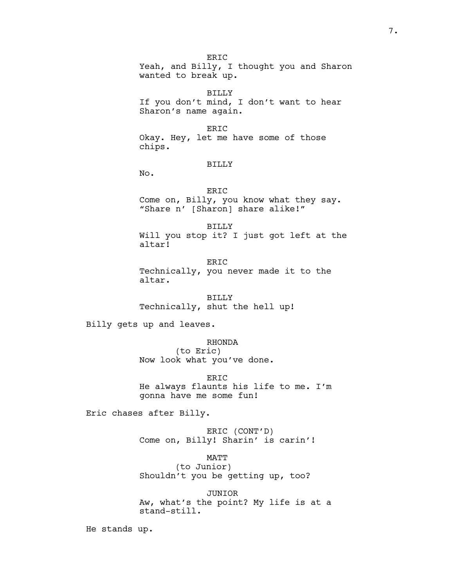ER<sub>TC</sub> Yeah, and Billy, I thought you and Sharon wanted to break up.

BILLY If you don't mind, I don't want to hear Sharon's name again.

ERIC

Okay. Hey, let me have some of those chips.

### BILLY

No.

ERIC Come on, Billy, you know what they say. "Share n' [Sharon] share alike!"

BILLY Will you stop it? I just got left at the altar!

ERIC Technically, you never made it to the altar.

BILLY Technically, shut the hell up!

Billy gets up and leaves.

RHONDA (to Eric) Now look what you've done.

ERIC He always flaunts his life to me. I'm gonna have me some fun!

Eric chases after Billy.

ERIC (CONT'D) Come on, Billy! Sharin' is carin'!

MATT

(to Junior) Shouldn't you be getting up, too?

JUNIOR Aw, what's the point? My life is at a stand-still.

He stands up.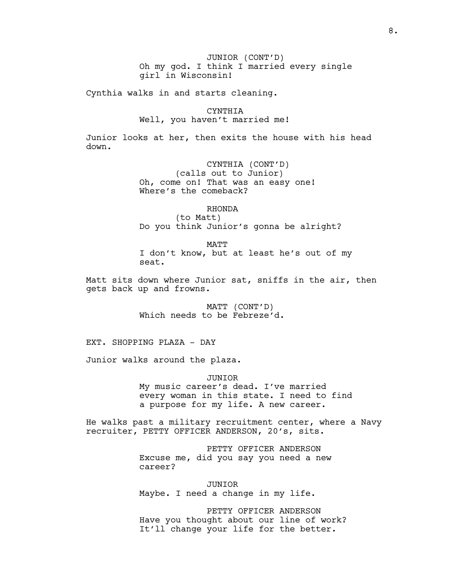JUNIOR (CONT'D) Oh my god. I think I married every single girl in Wisconsin!

Cynthia walks in and starts cleaning.

# CYNTHIA

Well, you haven't married me!

Junior looks at her, then exits the house with his head down.

> CYNTHIA (CONT'D) (calls out to Junior) Oh, come on! That was an easy one! Where's the comeback?

# RHONDA

(to Matt) Do you think Junior's gonna be alright?

MATT I don't know, but at least he's out of my seat.

Matt sits down where Junior sat, sniffs in the air, then gets back up and frowns.

> MATT (CONT'D) Which needs to be Febreze'd.

EXT. SHOPPING PLAZA - DAY

Junior walks around the plaza.

JUNIOR

My music career's dead. I've married every woman in this state. I need to find a purpose for my life. A new career.

He walks past a military recruitment center, where a Navy recruiter, PETTY OFFICER ANDERSON, 20's, sits.

> PETTY OFFICER ANDERSON Excuse me, did you say you need a new career?

JUNIOR Maybe. I need a change in my life.

PETTY OFFICER ANDERSON Have you thought about our line of work? It'll change your life for the better.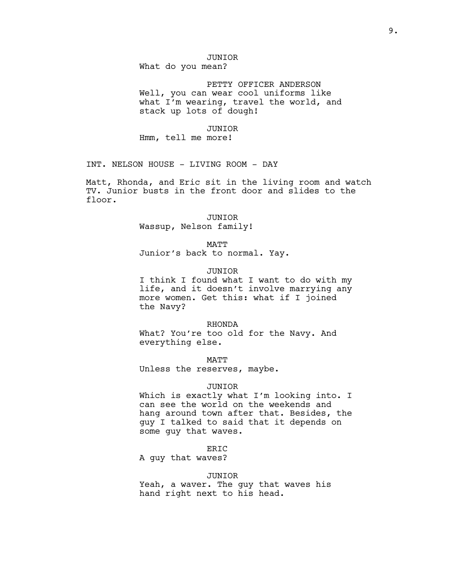# JUNIOR

What do you mean?

PETTY OFFICER ANDERSON Well, you can wear cool uniforms like what I'm wearing, travel the world, and stack up lots of dough!

#### JUNIOR

Hmm, tell me more!

INT. NELSON HOUSE - LIVING ROOM - DAY

Matt, Rhonda, and Eric sit in the living room and watch TV. Junior busts in the front door and slides to the floor.

#### JUNIOR

Wassup, Nelson family!

MATT

Junior's back to normal. Yay.

### JUNIOR

I think I found what I want to do with my life, and it doesn't involve marrying any more women. Get this: what if I joined the Navy?

#### RHONDA

What? You're too old for the Navy. And everything else.

MATT

Unless the reserves, maybe.

### JUNIOR

Which is exactly what I'm looking into. I can see the world on the weekends and hang around town after that. Besides, the guy I talked to said that it depends on some guy that waves.

#### ERIC

A guy that waves?

### JUNIOR

Yeah, a waver. The guy that waves his hand right next to his head.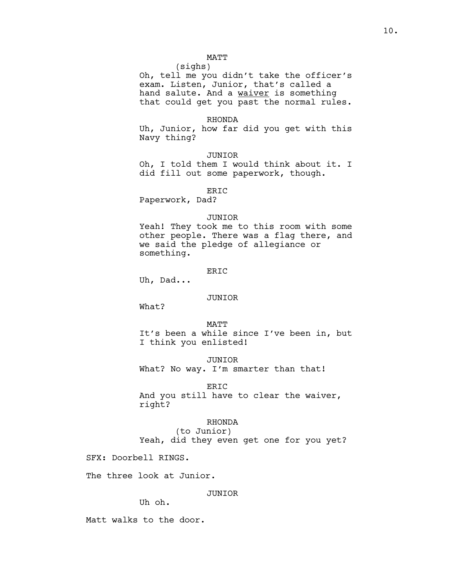# MATT

(sighs) Oh, tell me you didn't take the officer's exam. Listen, Junior, that's called a hand salute. And a waiver is something that could get you past the normal rules.

#### RHONDA

Uh, Junior, how far did you get with this Navy thing?

JUNIOR

Oh, I told them I would think about it. I did fill out some paperwork, though.

ERIC

Paperwork, Dad?

#### JUNIOR

Yeah! They took me to this room with some other people. There was a flag there, and we said the pledge of allegiance or something.

# ER<sub>IC</sub>

Uh, Dad...

### JUNIOR

What?

MATT It's been a while since I've been in, but I think you enlisted!

JUNIOR What? No way. I'm smarter than that!

ERIC And you still have to clear the waiver, right?

### RHONDA

(to Junior) Yeah, did they even get one for you yet?

SFX: Doorbell RINGS.

The three look at Junior.

### JUNIOR

Uh oh.

Matt walks to the door.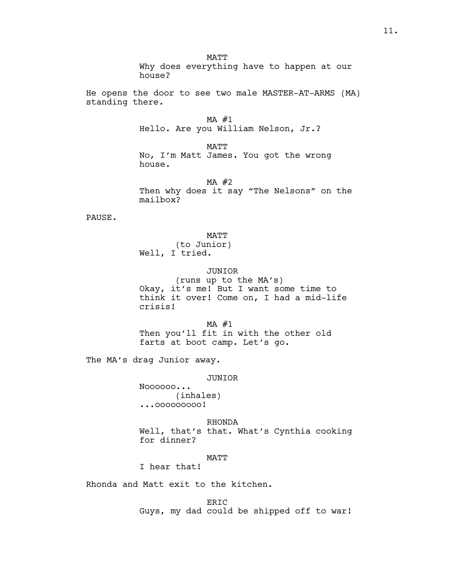**MATT** Why does everything have to happen at our house? He opens the door to see two male MASTER-AT-ARMS (MA) standing there. MA #1 Hello. Are you William Nelson, Jr.? MATT No, I'm Matt James. You got the wrong house.  $MA$  #2 Then why does it say "The Nelsons" on the mailbox? PAUSE. MATT (to Junior) Well, I tried. JUNIOR (runs up to the MA's) Okay, it's me! But I want some time to think it over! Come on, I had a mid-life crisis! MA #1 Then you'll fit in with the other old farts at boot camp. Let's go. The MA's drag Junior away. JUNIOR Noooooo... (inhales)

...ooooooooo!

RHONDA Well, that's that. What's Cynthia cooking for dinner?

### MATT

I hear that!

Rhonda and Matt exit to the kitchen.

ERIC Guys, my dad could be shipped off to war!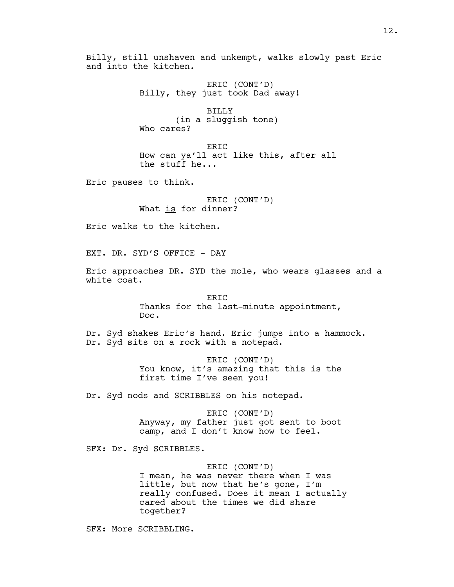Billy, still unshaven and unkempt, walks slowly past Eric and into the kitchen.

> ERIC (CONT'D) Billy, they just took Dad away!

BILLY (in a sluggish tone) Who cares?

ERIC How can ya'll act like this, after all the stuff he...

Eric pauses to think.

ERIC (CONT'D) What is for dinner?

Eric walks to the kitchen.

EXT. DR. SYD'S OFFICE - DAY

Eric approaches DR. SYD the mole, who wears glasses and a white coat.

> ERIC Thanks for the last-minute appointment, Doc.

Dr. Syd shakes Eric's hand. Eric jumps into a hammock. Dr. Syd sits on a rock with a notepad.

> ERIC (CONT'D) You know, it's amazing that this is the first time I've seen you!

Dr. Syd nods and SCRIBBLES on his notepad.

ERIC (CONT'D) Anyway, my father just got sent to boot camp, and I don't know how to feel.

SFX: Dr. Syd SCRIBBLES.

ERIC (CONT'D) I mean, he was never there when I was little, but now that he's gone, I'm really confused. Does it mean I actually cared about the times we did share together?

SFX: More SCRIBBLING.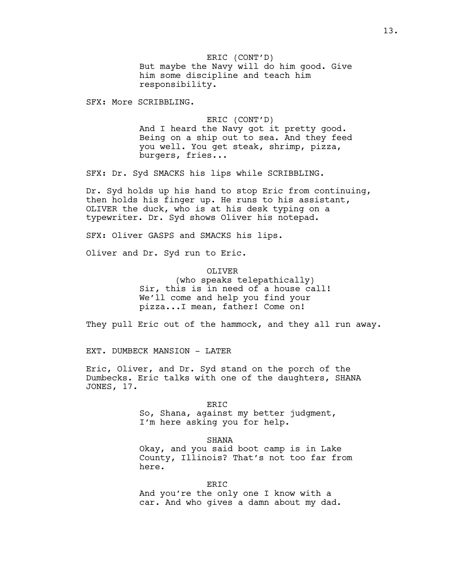ERIC (CONT'D) But maybe the Navy will do him good. Give him some discipline and teach him responsibility.

SFX: More SCRIBBLING.

ERIC (CONT'D) And I heard the Navy got it pretty good. Being on a ship out to sea. And they feed you well. You get steak, shrimp, pizza, burgers, fries...

SFX: Dr. Syd SMACKS his lips while SCRIBBLING.

Dr. Syd holds up his hand to stop Eric from continuing, then holds his finger up. He runs to his assistant, OLIVER the duck, who is at his desk typing on a typewriter. Dr. Syd shows Oliver his notepad.

SFX: Oliver GASPS and SMACKS his lips.

Oliver and Dr. Syd run to Eric.

# OLIVER

(who speaks telepathically) Sir, this is in need of a house call! We'll come and help you find your pizza...I mean, father! Come on!

They pull Eric out of the hammock, and they all run away.

EXT. DUMBECK MANSION - LATER

Eric, Oliver, and Dr. Syd stand on the porch of the Dumbecks. Eric talks with one of the daughters, SHANA JONES, 17.

#### ERIC

So, Shana, against my better judgment, I'm here asking you for help.

#### SHANA

Okay, and you said boot camp is in Lake County, Illinois? That's not too far from here.

ERIC

And you're the only one I know with a car. And who gives a damn about my dad.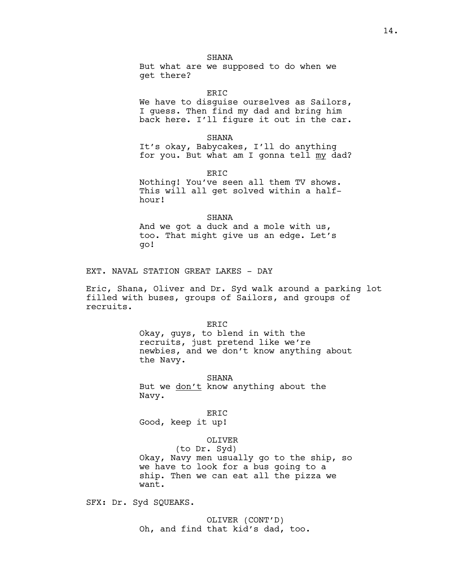### **SHANA**

But what are we supposed to do when we get there?

ERIC

We have to disquise ourselves as Sailors, I guess. Then find my dad and bring him back here. I'll figure it out in the car.

SHANA

It's okay, Babycakes, I'll do anything for you. But what am I gonna tell my dad?

ER<sub>TC</sub>

Nothing! You've seen all them TV shows. This will all get solved within a halfhour!

#### SHANA

And we got a duck and a mole with us, too. That might give us an edge. Let's go!

EXT. NAVAL STATION GREAT LAKES - DAY

Eric, Shana, Oliver and Dr. Syd walk around a parking lot filled with buses, groups of Sailors, and groups of recruits.

### ERIC

Okay, guys, to blend in with the recruits, just pretend like we're newbies, and we don't know anything about the Navy.

SHANA

But we don't know anything about the Navy.

ERIC Good, keep it up!

### OLIVER

(to Dr. Syd) Okay, Navy men usually go to the ship, so we have to look for a bus going to a ship. Then we can eat all the pizza we want.

SFX: Dr. Syd SQUEAKS.

OLIVER (CONT'D) Oh, and find that kid's dad, too.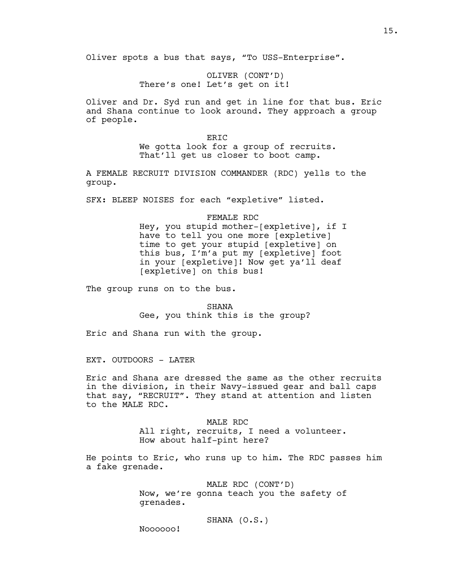OLIVER (CONT'D) There's one! Let's get on it!

Oliver and Dr. Syd run and get in line for that bus. Eric and Shana continue to look around. They approach a group of people.

> ER<sub>TC</sub> We gotta look for a group of recruits. That'll get us closer to boot camp.

A FEMALE RECRUIT DIVISION COMMANDER (RDC) yells to the group.

SFX: BLEEP NOISES for each "expletive" listed.

FEMALE RDC

Hey, you stupid mother-[expletive], if I have to tell you one more [expletive] time to get your stupid [expletive] on this bus, I'm'a put my [expletive] foot in your [expletive]! Now get ya'll deaf [expletive] on this bus!

The group runs on to the bus.

SHANA Gee, you think this is the group?

Eric and Shana run with the group.

EXT. OUTDOORS - LATER

Eric and Shana are dressed the same as the other recruits in the division, in their Navy-issued gear and ball caps that say, "RECRUIT". They stand at attention and listen to the MALE RDC.

> MALE RDC All right, recruits, I need a volunteer. How about half-pint here?

He points to Eric, who runs up to him. The RDC passes him a fake grenade.

> MALE RDC (CONT'D) Now, we're gonna teach you the safety of grenades.

> > SHANA (O.S.)

Noooooo!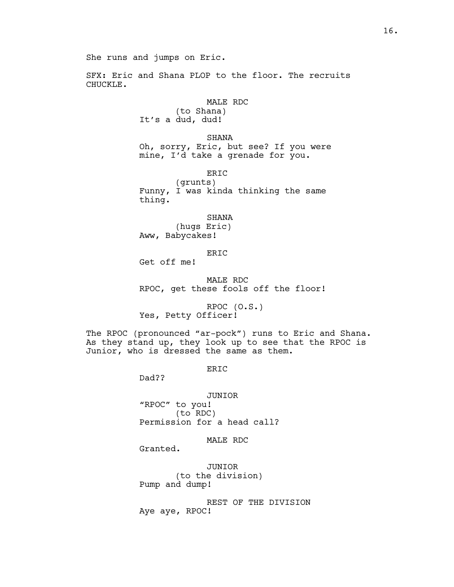SFX: Eric and Shana PLOP to the floor. The recruits CHUCKLE.

# MALE RDC

(to Shana) It's a dud, dud!

SHANA Oh, sorry, Eric, but see? If you were mine, I'd take a grenade for you.

ERIC

(grunts) Funny, I was kinda thinking the same thing.

SHANA

(hugs Eric) Aww, Babycakes!

ERIC

Get off me!

MALE RDC RPOC, get these fools off the floor!

RPOC (O.S.) Yes, Petty Officer!

The RPOC (pronounced "ar-pock") runs to Eric and Shana. As they stand up, they look up to see that the RPOC is Junior, who is dressed the same as them.

ERIC

Dad??

JUNIOR "RPOC" to you! (to RDC) Permission for a head call?

MALE RDC

Granted.

JUNIOR (to the division) Pump and dump!

REST OF THE DIVISION Aye aye, RPOC!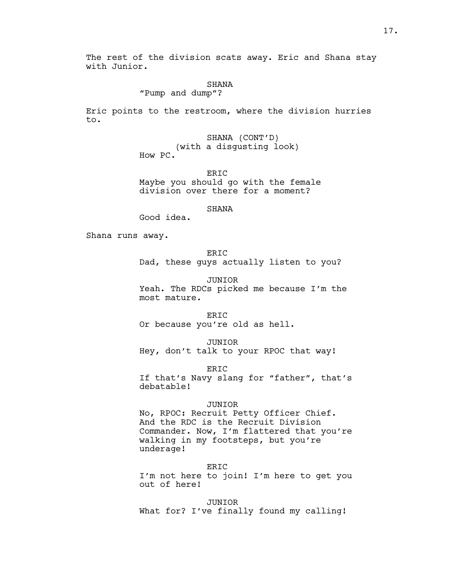The rest of the division scats away. Eric and Shana stay with Junior.

#### SHANA

"Pump and dump"?

Eric points to the restroom, where the division hurries to.

> SHANA (CONT'D) (with a disgusting look) How PC.

> > ERIC

Maybe you should go with the female division over there for a moment?

SHANA

Good idea.

Shana runs away.

ER<sub>IC</sub>

Dad, these guys actually listen to you?

JUNIOR Yeah. The RDCs picked me because I'm the most mature.

ERIC Or because you're old as hell.

JUNIOR Hey, don't talk to your RPOC that way!

ER<sub>TC</sub> If that's Navy slang for "father", that's debatable!

#### JUNIOR

No, RPOC: Recruit Petty Officer Chief. And the RDC is the Recruit Division Commander. Now, I'm flattered that you're walking in my footsteps, but you're underage!

ERIC I'm not here to join! I'm here to get you out of here!

JUNIOR What for? I've finally found my calling!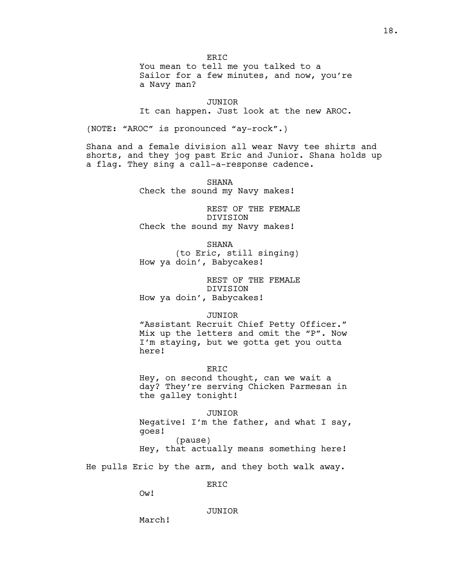ER<sub>IC</sub>

You mean to tell me you talked to a Sailor for a few minutes, and now, you're a Navy man?

JUNIOR It can happen. Just look at the new AROC.

(NOTE: "AROC" is pronounced "ay-rock".)

Shana and a female division all wear Navy tee shirts and shorts, and they jog past Eric and Junior. Shana holds up a flag. They sing a call-a-response cadence.

> SHANA Check the sound my Navy makes!

REST OF THE FEMALE DIVISION Check the sound my Navy makes!

SHANA

(to Eric, still singing) How ya doin', Babycakes!

REST OF THE FEMALE DIVISION How ya doin', Babycakes!

JUNIOR

"Assistant Recruit Chief Petty Officer." Mix up the letters and omit the "P". Now I'm staying, but we gotta get you outta here!

ER<sub>TC</sub> Hey, on second thought, can we wait a day? They're serving Chicken Parmesan in the galley tonight!

JUNIOR Negative! I'm the father, and what I say, goes! (pause)

Hey, that actually means something here!

He pulls Eric by the arm, and they both walk away.

ERIC

Ow!

JUNIOR

March!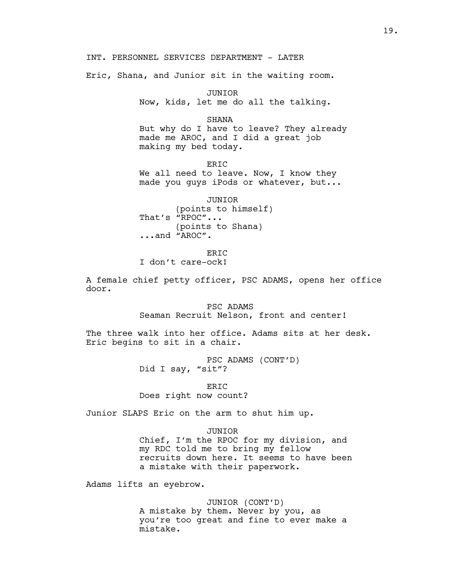INT. PERSONNEL SERVICES DEPARTMENT - LATER

Eric, Shana, and Junior sit in the waiting room.

JUNIOR Now, kids, let me do all the talking.

SHANA But why do I have to leave? They already made me AROC, and I did a great job making my bed today.

ERIC We all need to leave. Now, I know they made you guys iPods or whatever, but...

JUNIOR (points to himself) That's "RPOC"... (points to Shana) ...and "AROC".

ER<sub>TC</sub>

I don't care-ock!

A female chief petty officer, PSC ADAMS, opens her office door.

> PSC ADAMS Seaman Recruit Nelson, front and center!

The three walk into her office. Adams sits at her desk. Eric begins to sit in a chair.

> PSC ADAMS (CONT'D) Did I say, "sit"?

ERIC Does right now count?

Junior SLAPS Eric on the arm to shut him up.

JUNIOR

Chief, I'm the RPOC for my division, and my RDC told me to bring my fellow recruits down here. It seems to have been a mistake with their paperwork.

Adams lifts an eyebrow.

JUNIOR (CONT'D) A mistake by them. Never by you, as you're too great and fine to ever make a mistake.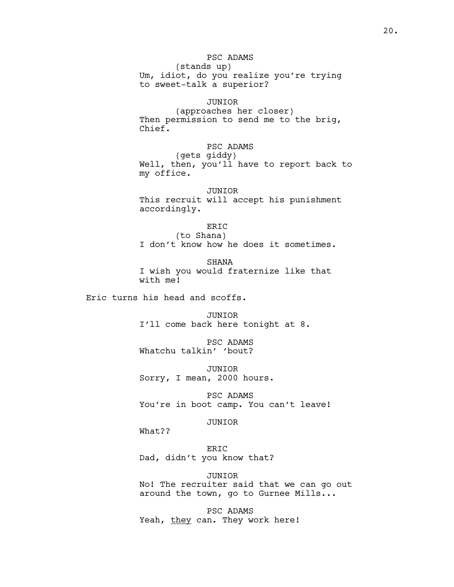(stands up) Um, idiot, do you realize you're trying to sweet-talk a superior?

### JUNIOR

(approaches her closer) Then permission to send me to the brig, Chief.

# PSC ADAMS

(gets giddy) Well, then, you'll have to report back to my office.

JUNIOR This recruit will accept his punishment accordingly.

# ERIC

(to Shana) I don't know how he does it sometimes.

SHANA I wish you would fraternize like that with me!

Eric turns his head and scoffs.

JUNIOR I'll come back here tonight at 8.

PSC ADAMS Whatchu talkin' 'bout?

JUNIOR Sorry, I mean, 2000 hours.

PSC ADAMS You're in boot camp. You can't leave!

### JUNIOR

What??

ERIC Dad, didn't you know that?

JUNIOR No! The recruiter said that we can go out around the town, go to Gurnee Mills...

PSC ADAMS Yeah, they can. They work here!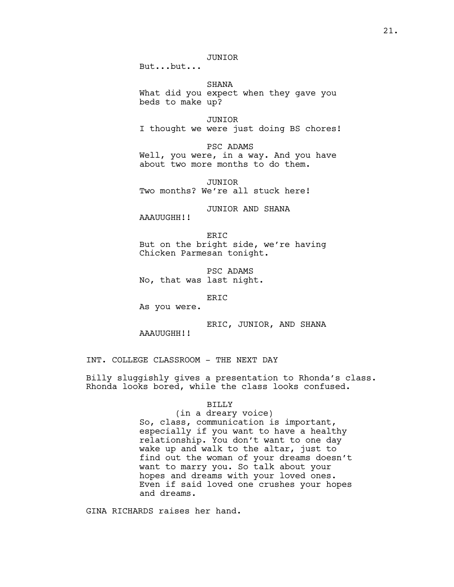But...but...

SHANA What did you expect when they gave you beds to make up?

JUNIOR I thought we were just doing BS chores!

PSC ADAMS Well, you were, in a way. And you have about two more months to do them.

JUNIOR Two months? We're all stuck here!

JUNIOR AND SHANA

AAAUUGHH!!

ER<sub>TC</sub> But on the bright side, we're having Chicken Parmesan tonight.

PSC ADAMS No, that was last night.

ERIC

As you were.

ERIC, JUNIOR, AND SHANA AAAUUGHH!!

INT. COLLEGE CLASSROOM - THE NEXT DAY

Billy sluggishly gives a presentation to Rhonda's class. Rhonda looks bored, while the class looks confused.

### BILLY

### (in a dreary voice)

So, class, communication is important, especially if you want to have a healthy relationship. You don't want to one day wake up and walk to the altar, just to find out the woman of your dreams doesn't want to marry you. So talk about your hopes and dreams with your loved ones. Even if said loved one crushes your hopes and dreams.

GINA RICHARDS raises her hand.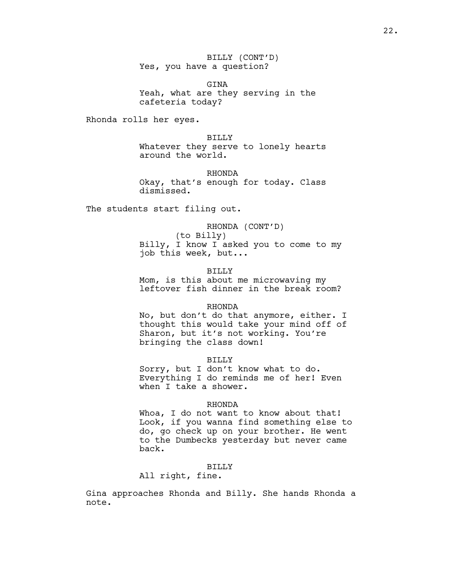BILLY (CONT'D) Yes, you have a question?

GINA Yeah, what are they serving in the cafeteria today?

Rhonda rolls her eyes.

BILLY Whatever they serve to lonely hearts around the world.

RHONDA Okay, that's enough for today. Class dismissed.

The students start filing out.

RHONDA (CONT'D) (to Billy) Billy, I know I asked you to come to my job this week, but...

BILLY Mom, is this about me microwaving my leftover fish dinner in the break room?

### RHONDA

No, but don't do that anymore, either. I thought this would take your mind off of Sharon, but it's not working. You're bringing the class down!

#### BILLY

Sorry, but I don't know what to do. Everything I do reminds me of her! Even when I take a shower.

#### RHONDA

Whoa, I do not want to know about that! Look, if you wanna find something else to do, go check up on your brother. He went to the Dumbecks yesterday but never came back.

# BILLY

All right, fine.

Gina approaches Rhonda and Billy. She hands Rhonda a note.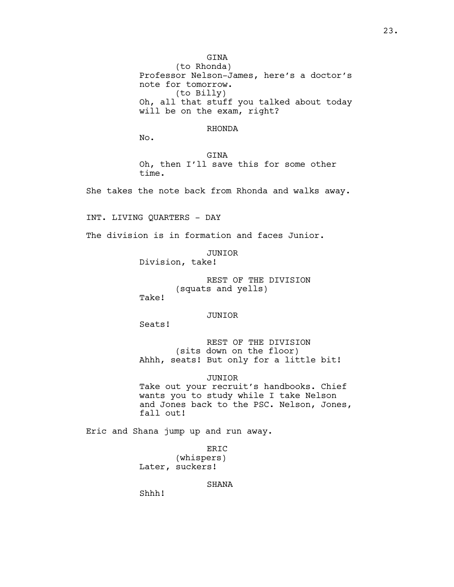GINA

(to Rhonda) Professor Nelson-James, here's a doctor's note for tomorrow. (to Billy) Oh, all that stuff you talked about today will be on the exam, right?

### RHONDA

No.

GINA Oh, then I'll save this for some other time.

She takes the note back from Rhonda and walks away.

INT. LIVING QUARTERS - DAY

The division is in formation and faces Junior.

JUNIOR Division, take!

> REST OF THE DIVISION (squats and yells)

Take!

#### JUNIOR

Seats!

REST OF THE DIVISION (sits down on the floor) Ahhh, seats! But only for a little bit!

JUNIOR

Take out your recruit's handbooks. Chief wants you to study while I take Nelson and Jones back to the PSC. Nelson, Jones, fall out!

Eric and Shana jump up and run away.

ERIC (whispers) Later, suckers!

SHANA

Shhh!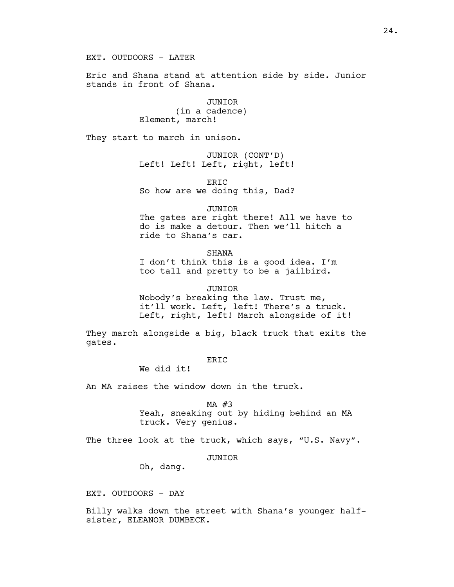EXT. OUTDOORS - LATER

Eric and Shana stand at attention side by side. Junior stands in front of Shana.

> JUNIOR (in a cadence) Element, march!

They start to march in unison.

JUNIOR (CONT'D) Left! Left! Left, right, left!

ERIC So how are we doing this, Dad?

JUNIOR

The gates are right there! All we have to do is make a detour. Then we'll hitch a ride to Shana's car.

**SHANA** 

I don't think this is a good idea. I'm too tall and pretty to be a jailbird.

JUNIOR Nobody's breaking the law. Trust me, it'll work. Left, left! There's a truck. Left, right, left! March alongside of it!

They march alongside a big, black truck that exits the gates.

ERIC

We did it!

An MA raises the window down in the truck.

MA #3

Yeah, sneaking out by hiding behind an MA truck. Very genius.

The three look at the truck, which says, "U.S. Navy".

### JUNIOR

Oh, dang.

EXT. OUTDOORS - DAY

Billy walks down the street with Shana's younger halfsister, ELEANOR DUMBECK.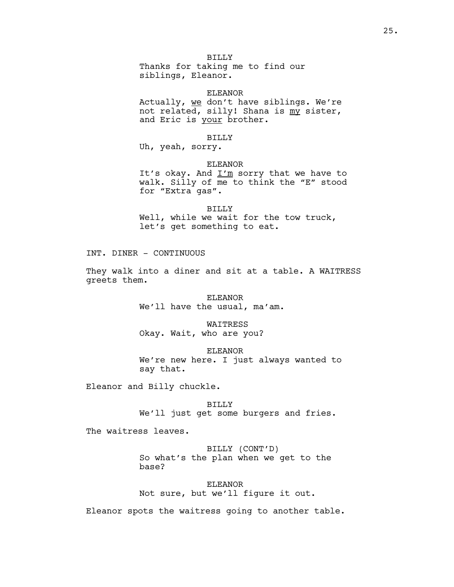BILLY Thanks for taking me to find our siblings, Eleanor.

ELEANOR

Actually, we don't have siblings. We're not related, silly! Shana is my sister, and Eric is your brother.

### BILLY

Uh, yeah, sorry.

### ELEANOR

It's okay. And  $I'm$  sorry that we have to walk. Silly of me to think the "E" stood for "Extra gas".

BILLY Well, while we wait for the tow truck, let's get something to eat.

INT. DINER - CONTINUOUS

They walk into a diner and sit at a table. A WAITRESS greets them.

> ELEANOR We'll have the usual, ma'am.

### WAITRESS

Okay. Wait, who are you?

ELEANOR

We're new here. I just always wanted to say that.

Eleanor and Billy chuckle.

BILLY We'll just get some burgers and fries.

The waitress leaves.

BILLY (CONT'D) So what's the plan when we get to the base?

ELEANOR Not sure, but we'll figure it out.

Eleanor spots the waitress going to another table.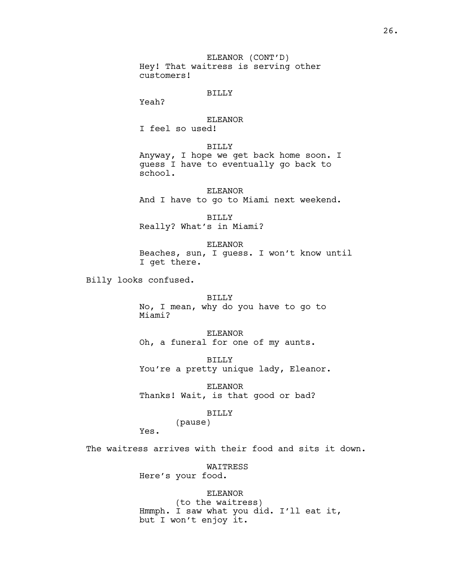ELEANOR (CONT'D) Hey! That waitress is serving other customers!

### BILLY

Yeah?

### ELEANOR

I feel so used!

# BILLY

Anyway, I hope we get back home soon. I guess I have to eventually go back to school.

ELEANOR And I have to go to Miami next weekend.

BILLY Really? What's in Miami?

ELEANOR Beaches, sun, I guess. I won't know until I get there.

Billy looks confused.

### BILLY

No, I mean, why do you have to go to Miami?

ELEANOR Oh, a funeral for one of my aunts.

BILLY You're a pretty unique lady, Eleanor.

ELEANOR Thanks! Wait, is that good or bad?

#### BILLY

(pause)

Yes.

The waitress arrives with their food and sits it down.

WAITRESS Here's your food.

# ELEANOR

(to the waitress) Hmmph. I saw what you did. I'll eat it, but I won't enjoy it.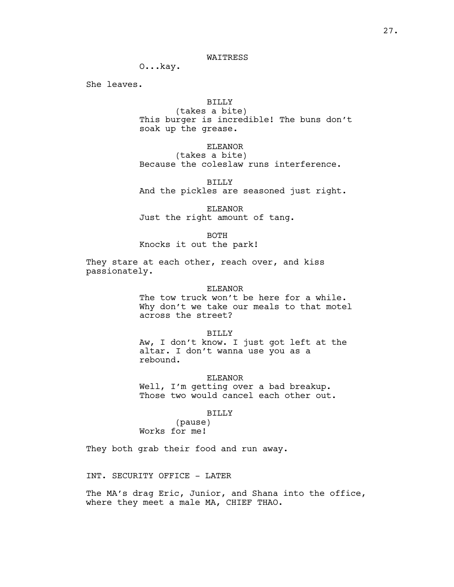### WAITRESS

O...kay.

She leaves.

# BILLY

(takes a bite) This burger is incredible! The buns don't soak up the grease.

# ELEANOR

(takes a bite) Because the coleslaw runs interference.

BILLY And the pickles are seasoned just right.

ELEANOR Just the right amount of tang.

BOTH

Knocks it out the park!

They stare at each other, reach over, and kiss passionately.

#### ELEANOR

The tow truck won't be here for a while. Why don't we take our meals to that motel across the street?

BILLY

Aw, I don't know. I just got left at the altar. I don't wanna use you as a rebound.

ELEANOR

Well, I'm getting over a bad breakup. Those two would cancel each other out.

#### BILLY

(pause) Works for me!

They both grab their food and run away.

INT. SECURITY OFFICE - LATER

The MA's drag Eric, Junior, and Shana into the office, where they meet a male MA, CHIEF THAO.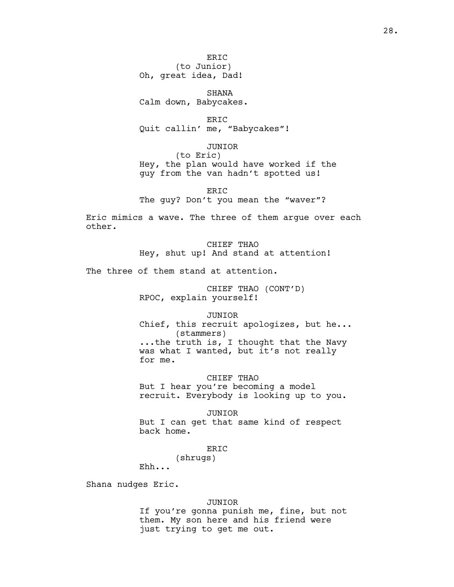SHANA Calm down, Babycakes.

ERIC Quit callin' me, "Babycakes"!

JUNIOR (to Eric) Hey, the plan would have worked if the guy from the van hadn't spotted us!

ERIC The guy? Don't you mean the "waver"?

Eric mimics a wave. The three of them argue over each other.

> CHIEF THAO Hey, shut up! And stand at attention!

The three of them stand at attention.

CHIEF THAO (CONT'D) RPOC, explain yourself!

JUNIOR

Chief, this recruit apologizes, but he... (stammers) ...the truth is, I thought that the Navy was what I wanted, but it's not really for me.

CHIEF THAO But I hear you're becoming a model recruit. Everybody is looking up to you.

JUNIOR But I can get that same kind of respect back home.

ERIC

(shrugs)

Ehh...

Shana nudges Eric.

#### JUNIOR

If you're gonna punish me, fine, but not them. My son here and his friend were just trying to get me out.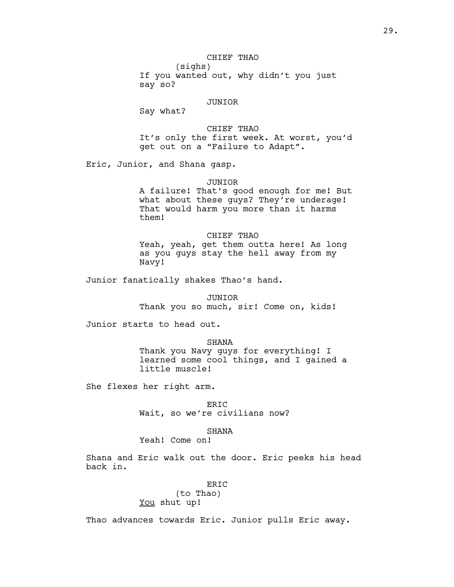# CHIEF THAO

(sighs) If you wanted out, why didn't you just say so?

### JUNIOR

Say what?

CHIEF THAO It's only the first week. At worst, you'd get out on a "Failure to Adapt".

Eric, Junior, and Shana gasp.

#### JUNIOR

A failure! That's good enough for me! But what about these guys? They're underage! That would harm you more than it harms them!

CHIEF THAO Yeah, yeah, get them outta here! As long as you guys stay the hell away from my Navy!

Junior fanatically shakes Thao's hand.

JUNIOR

Thank you so much, sir! Come on, kids!

Junior starts to head out.

SHANA

Thank you Navy guys for everything! I learned some cool things, and I gained a little muscle!

She flexes her right arm.

ERIC Wait, so we're civilians now?

### **SHANA**

Yeah! Come on!

Shana and Eric walk out the door. Eric peeks his head back in.

### ERIC

# (to Thao) You shut up!

Thao advances towards Eric. Junior pulls Eric away.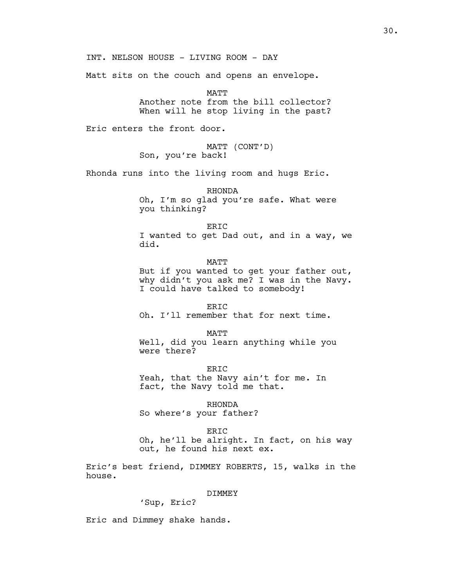INT. NELSON HOUSE - LIVING ROOM - DAY

Matt sits on the couch and opens an envelope.

MATT Another note from the bill collector? When will he stop living in the past?

Eric enters the front door.

MATT (CONT'D) Son, you're back!

Rhonda runs into the living room and hugs Eric.

RHONDA Oh, I'm so glad you're safe. What were you thinking?

ERIC I wanted to get Dad out, and in a way, we did.

MATT But if you wanted to get your father out, why didn't you ask me? I was in the Navy. I could have talked to somebody!

ERIC Oh. I'll remember that for next time.

MATT Well, did you learn anything while you were there?

ER<sub>TC</sub> Yeah, that the Navy ain't for me. In fact, the Navy told me that.

RHONDA So where's your father?

ERIC Oh, he'll be alright. In fact, on his way out, he found his next ex.

Eric's best friend, DIMMEY ROBERTS, 15, walks in the house.

### DIMMEY

'Sup, Eric?

Eric and Dimmey shake hands.